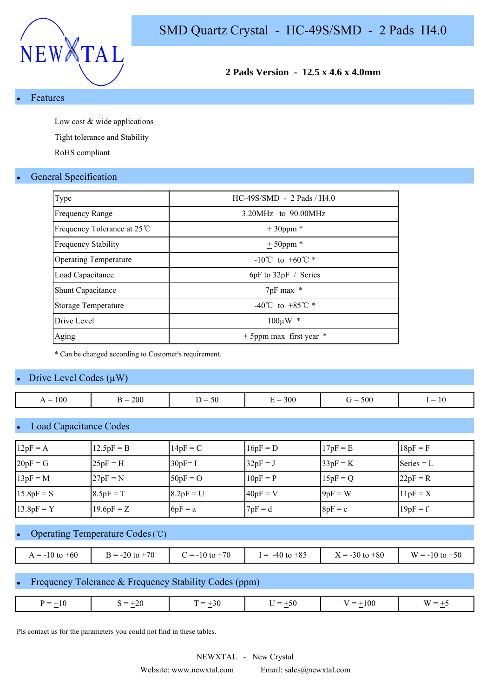

## **2 Pads Version - 12.5 x 4.6 x 4.0mm**

**Features** 

Low cost & wide applications

Tight tolerance and Stability

RoHS compliant

#### **General Specification**

| Type                         | $HC-49S/SMD - 2$ Pads / H4.0         |
|------------------------------|--------------------------------------|
| <b>Frequency Range</b>       | $3.20MHz$ to $90.00MHz$              |
| Frequency Tolerance at 25 ℃  | $± 30$ ppm *                         |
| <b>Frequency Stability</b>   | $± 50$ ppm $*$                       |
| <b>Operating Temperature</b> | $-10^{\circ}$ C to $+60^{\circ}$ C * |
| Load Capacitance             | $6pF$ to $32pF /$ Series             |
| <b>Shunt Capacitance</b>     | 7pF max *                            |
| Storage Temperature          | -40°C to +85°C $*$                   |
| Drive Level                  | $100 \mu W$ *                        |
| Aging                        | $\pm$ 5ppm max first year $*$        |

\* Can be changed according to Customer's requirement.

#### Drive Level Codes  $(\mu W)$

| 100<br>$=$<br>. . | <b>200</b> | $\sim$ .<br>.<br>.<br>υc | 300<br>$\overline{\phantom{a}}$ | 500<br>$\overline{\phantom{a}}$ | $\mathbf{1} \mathbf{0}$<br>$\overline{\phantom{a}}$ |
|-------------------|------------|--------------------------|---------------------------------|---------------------------------|-----------------------------------------------------|
|                   |            |                          |                                 |                                 |                                                     |

#### Load Capacitance Codes

| $12pF = A$   | $12.5pF = B$ | $14pF = C$  | $16pF = D$ | $17pF = E$ | $18pF = F$   |
|--------------|--------------|-------------|------------|------------|--------------|
| $20pF = G$   | $25pF = H$   | $30pF = I$  | $32pF = J$ | $33pF = K$ | Series $= L$ |
| $13pF = M$   | $27pF = N$   | $50pF = O$  | $10pF = P$ | $15pF = Q$ | $22pF = R$   |
| $15.8pF = S$ | $8.5pF = T$  | $8.2pF = U$ | $40pF = V$ | $9pF = W$  | $11pF = X$   |
| $13.8pF = Y$ | $19.6pF = Z$ | $6pF = a$   | $7pF = d$  | $8pF = e$  | $19pF = f$   |

# Operating Temperature Codes (℃)

| $A = -10$ to $+60$ | $B = -20$ to $+70$ | $= -10$ to $+70$ | $-40$ to $+85$<br>$=$ | $\zeta = -30$ to $+80$ | W<br>$= -10$ to $+50$<br>$\overline{\phantom{0}}$ |
|--------------------|--------------------|------------------|-----------------------|------------------------|---------------------------------------------------|

#### Frequency Tolerance & Frequency Stability Codes (ppm)

| $+20$<br>$+30$<br>±10<br>$=$<br>$+50$<br>$=$<br>$\overline{\phantom{0}}$<br>$\mathbf{M}$<br>.<br>$\overline{ }$<br>__<br>$\sim$ $\sim$ $\sim$<br>$\overline{\phantom{a}}$<br>$\sim$<br>$\sim$ |
|-----------------------------------------------------------------------------------------------------------------------------------------------------------------------------------------------|
|-----------------------------------------------------------------------------------------------------------------------------------------------------------------------------------------------|

Pls contact us for the parameters you could not find in these tables.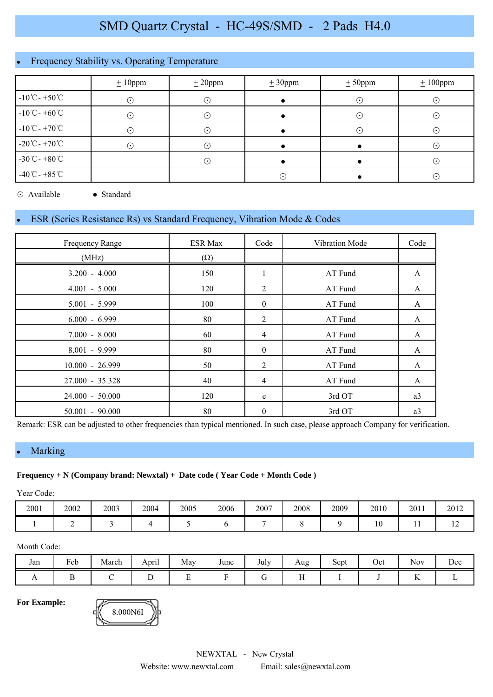# Frequency Stability vs. Operating Temperature

|                                    | $\pm 10$ ppm | $\pm 20$ ppm | $\pm 30$ ppm | $± 50$ ppm               | $\pm 100$ ppm |  |
|------------------------------------|--------------|--------------|--------------|--------------------------|---------------|--|
| $-10^{\circ}$ C - +50 $^{\circ}$ C | $\odot$      | $\odot$      |              | $\left( \bullet \right)$ | $(\cdot)$     |  |
| $-10^{\circ}$ C - +60 $^{\circ}$ C | $\odot$      | $\odot$      |              | $\cdot$ .                | $(\cdot)$     |  |
| $-10^{\circ}$ C - $+70^{\circ}$ C  | $\odot$      | (۰           |              |                          | $(\cdot)$     |  |
| $-20^{\circ}$ C - +70 $^{\circ}$ C | $(\cdot)$    | ۰.           |              |                          | ' • ا         |  |
| $-30^{\circ}$ C - $+80^{\circ}$ C  |              | $\odot$      |              |                          | $(\cdot)$     |  |
| $-40^{\circ}$ C - +85 $^{\circ}$ C |              |              | $\odot$      |                          | $\odot$       |  |

⊙ Available ● Standard

## ESR (Series Resistance Rs) vs Standard Frequency, Vibration Mode & Codes

| Frequency Range   | <b>ESR Max</b> | Code           | Vibration Mode | Code |
|-------------------|----------------|----------------|----------------|------|
| (MHz)             | $(\Omega)$     |                |                |      |
| $3.200 - 4.000$   | 150            |                | AT Fund        | A    |
| $4.001 - 5.000$   | 120            | 2              | AT Fund        | A    |
| $5.001 - 5.999$   | 100            | $\overline{0}$ | AT Fund        | A    |
| $6.000 - 6.999$   | 80             | 2              | AT Fund        | A    |
| $7.000 - 8.000$   | 60             | 4              | AT Fund        | A    |
| $8.001 - 9.999$   | 80             | $\mathbf{0}$   | AT Fund        | A    |
| $10.000 - 26.999$ | 50             | 2              | AT Fund        | A    |
| 27.000 - 35.328   | 40             | 4              | AT Fund        | A    |
| $24.000 - 50.000$ | 120            | e              | 3rd OT         | a3   |
| $50.001 - 90.000$ | 80             | $\theta$       | 3rd OT         | a3   |

Remark: ESR can be adjusted to other frequencies than typical mentioned. In such case, please approach Company for verification.

#### • Marking

#### **Frequency + N (Company brand: Newxtal) + Date code ( Year Code + Month Code )**

Year Code:

| 2001 | 2002 | 2003 | 2004 | 2005 | 2006 | 2007 | 2008 | 2009 | 2010          | 2011 | 2012 |
|------|------|------|------|------|------|------|------|------|---------------|------|------|
|      |      |      |      |      |      |      |      |      | $\sim$<br>1 V | . .  | . .  |

#### Month Code:

| Jan | T <sub>1</sub><br>Feb | March | $\cdot$ .<br>April | May | June | <b>T</b> 1<br>July | Aug       | $\sim$<br>Sept | Oct | $\sim$ $\sim$<br><b>Nov</b>   | Dec |
|-----|-----------------------|-------|--------------------|-----|------|--------------------|-----------|----------------|-----|-------------------------------|-----|
| 1 L |                       |       | ∸                  | -   |      |                    | --<br>. . |                |     | --<br>$\overline{\mathbf{r}}$ |     |

**For Example:**

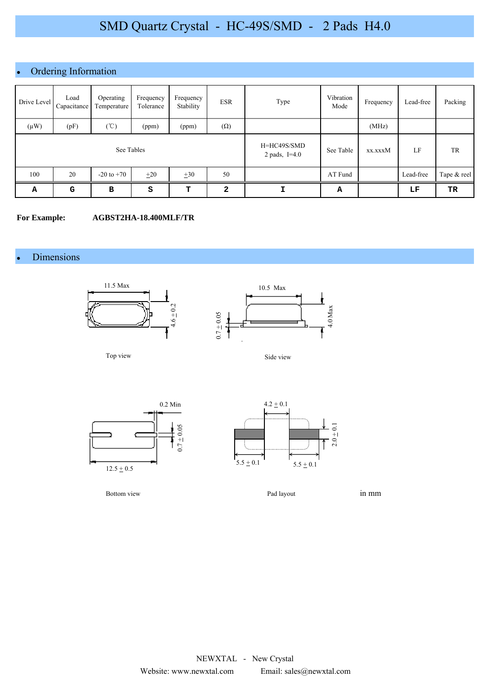## • Ordering Information

| Drive Level | Load<br>Capacitance | Operating<br>Temperature | Frequency<br>Tolerance | Frequency<br>Stability | <b>ESR</b>   | Type                           | Vibration<br>Mode | Frequency | Lead-free | Packing     |
|-------------|---------------------|--------------------------|------------------------|------------------------|--------------|--------------------------------|-------------------|-----------|-----------|-------------|
| $(\mu W)$   | (pF)                | $(\degree C)$            | (ppm)                  | (ppm)                  | $(\Omega)$   |                                |                   | (MHz)     |           |             |
| See Tables  |                     |                          |                        |                        |              | H=HC49S/SMD<br>2 pads, $I=4.0$ | See Table         | xx.xxxM   | LF        | TR          |
| 100         | 20                  | $-20$ to $+70$           | $\pm 20$               | $\pm 30$               | 50           |                                | AT Fund           |           | Lead-free | Tape & reel |
| Α           | G                   | B                        | s                      | т                      | $\mathbf{2}$ | I                              | А                 |           | LF        | TR          |

#### **For Example: AGBST2HA-18.400MLF/TR**

#### • Dimensions